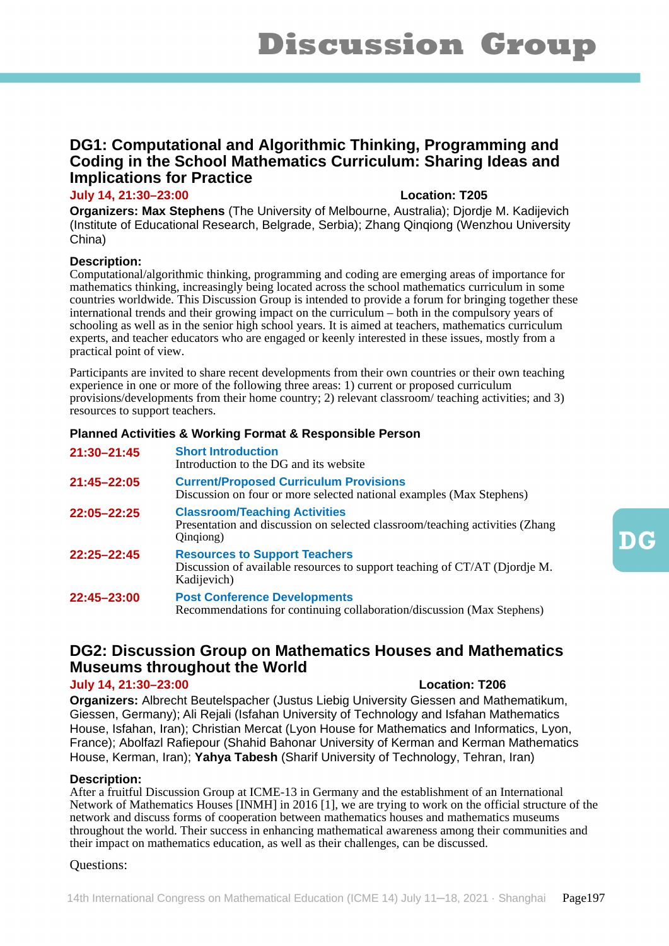# **DG1: Computational and Algorithmic Thinking, Programming and Coding in the School Mathematics Curriculum: Sharing Ideas and Implications for Practice**

# **July 14, 21:30–23:00 Location: T205**

**Organizers: Max Stephens** (The University of Melbourne, Australia); Djordje M. Kadijevich (Institute of Educational Research, Belgrade, Serbia); Zhang Qinqiong (Wenzhou University China)

# **Description:**

Computational/algorithmic thinking, programming and coding are emerging areas of importance for mathematics thinking, increasingly being located across the school mathematics curriculum in some countries worldwide. This Discussion Group is intended to provide a forum for bringing together these international trends and their growing impact on the curriculum – both in the compulsory years of schooling as well as in the senior high school years. It is aimed at teachers, mathematics curriculum experts, and teacher educators who are engaged or keenly interested in these issues, mostly from a practical point of view.

Participants are invited to share recent developments from their own countries or their own teaching experience in one or more of the following three areas: 1) current or proposed curriculum provisions/developments from their home country; 2) relevant classroom/ teaching activities; and 3) resources to support teachers.

# **Planned Activities & Working Format & Responsible Person**

| 21:30-21:45 | <b>Short Introduction</b><br>Introduction to the DG and its website                                                               |
|-------------|-----------------------------------------------------------------------------------------------------------------------------------|
| 21:45-22:05 | <b>Current/Proposed Curriculum Provisions</b><br>Discussion on four or more selected national examples (Max Stephens)             |
| 22:05-22:25 | <b>Classroom/Teaching Activities</b><br>Presentation and discussion on selected classroom/teaching activities (Zhang<br>Qingiong) |
| 22:25-22:45 | <b>Resources to Support Teachers</b><br>Discussion of available resources to support teaching of CT/AT (Djordje M.<br>Kadijevich) |
| 22:45-23:00 | <b>Post Conference Developments</b><br>Recommendations for continuing collaboration/discussion (Max Stephens)                     |

# **DG2: Discussion Group on Mathematics Houses and Mathematics Museums throughout the World**

# **July 14, 21:30–23:00 Location: T206**

**Organizers:** Albrecht Beutelspacher (Justus Liebig University Giessen and Mathematikum, Giessen, Germany); Ali Rejali (Isfahan University of Technology and Isfahan Mathematics House, Isfahan, Iran); Christian Mercat (Lyon House for Mathematics and Informatics, Lyon, France); Abolfazl Rafiepour (Shahid Bahonar University of Kerman and Kerman Mathematics House, Kerman, Iran); **Yahya Tabesh** (Sharif University of Technology, Tehran, Iran)

# **Description:**

After a fruitful Discussion Group at ICME-13 in Germany and the establishment of an International Network of Mathematics Houses [INMH] in 2016 [1], we are trying to work on the official structure of the network and discuss forms of cooperation between mathematics houses and mathematics museums throughout the world. Their success in enhancing mathematical awareness among their communities and their impact on mathematics education, as well as their challenges, can be discussed.

# Questions: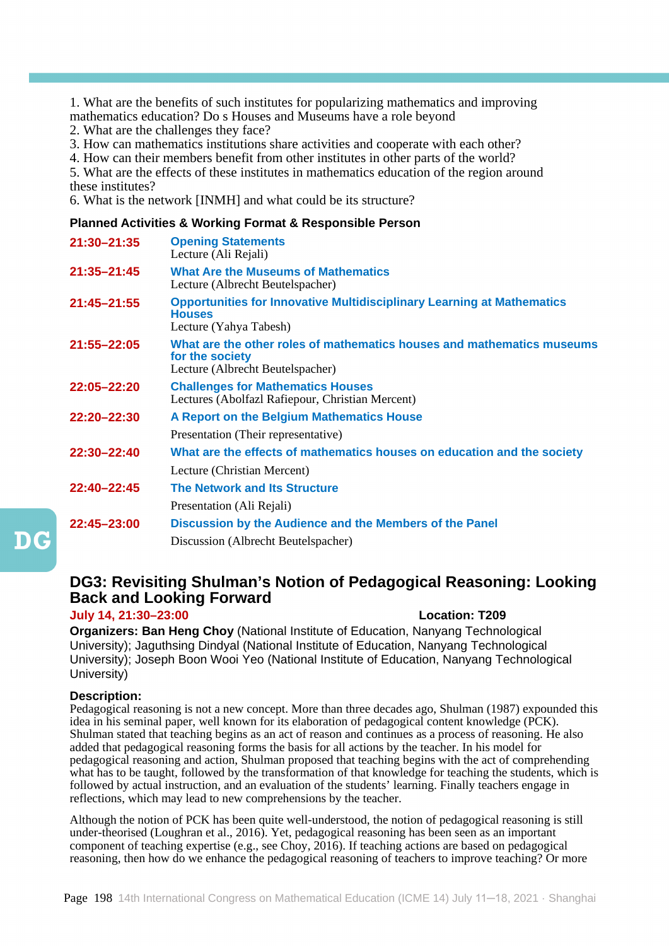1. What are the benefits of such institutes for popularizing mathematics and improving mathematics education? Do s Houses and Museums have a role beyond

2. What are the challenges they face?

3. How can mathematics institutions share activities and cooperate with each other?

4. How can their members benefit from other institutes in other parts of the world?

5. What are the effects of these institutes in mathematics education of the region around these institutes?

6. What is the network [INMH] and what could be its structure?

# **Planned Activities & Working Format & Responsible Person**

| 21:30-21:35 | <b>Opening Statements</b><br>Lecture (Ali Rejali)                                                                             |
|-------------|-------------------------------------------------------------------------------------------------------------------------------|
| 21:35-21:45 | <b>What Are the Museums of Mathematics</b><br>Lecture (Albrecht Beutelspacher)                                                |
| 21:45-21:55 | <b>Opportunities for Innovative Multidisciplinary Learning at Mathematics</b><br><b>Houses</b><br>Lecture (Yahya Tabesh)      |
| 21:55-22:05 | What are the other roles of mathematics houses and mathematics museums<br>for the society<br>Lecture (Albrecht Beutelspacher) |
| 22:05-22:20 | <b>Challenges for Mathematics Houses</b><br>Lectures (Abolfazl Rafiepour, Christian Mercent)                                  |
| 22:20-22:30 | A Report on the Belgium Mathematics House                                                                                     |
|             | Presentation (Their representative)                                                                                           |
| 22:30-22:40 | What are the effects of mathematics houses on education and the society                                                       |
|             | Lecture (Christian Mercent)                                                                                                   |
| 22:40-22:45 | <b>The Network and Its Structure</b>                                                                                          |
|             | Presentation (Ali Rejali)                                                                                                     |
| 22:45-23:00 | Discussion by the Audience and the Members of the Panel                                                                       |
|             | Discussion (Albrecht Beutelspacher)                                                                                           |

# **DG3: Revisiting Shulman's Notion of Pedagogical Reasoning: Looking Back and Looking Forward**

# **July 14, 21:30–23:00 Location: T209**

**Organizers: Ban Heng Choy** (National Institute of Education, Nanyang Technological University); Jaguthsing Dindyal (National Institute of Education, Nanyang Technological University); Joseph Boon Wooi Yeo (National Institute of Education, Nanyang Technological University)

# **Description:**

Pedagogical reasoning is not a new concept. More than three decades ago, Shulman (1987) expounded this idea in his seminal paper, well known for its elaboration of pedagogical content knowledge (PCK). Shulman stated that teaching begins as an act of reason and continues as a process of reasoning. He also added that pedagogical reasoning forms the basis for all actions by the teacher. In his model for pedagogical reasoning and action, Shulman proposed that teaching begins with the act of comprehending what has to be taught, followed by the transformation of that knowledge for teaching the students, which is followed by actual instruction, and an evaluation of the students' learning. Finally teachers engage in reflections, which may lead to new comprehensions by the teacher.

Although the notion of PCK has been quite well-understood, the notion of pedagogical reasoning is still under-theorised (Loughran et al., 2016). Yet, pedagogical reasoning has been seen as an important component of teaching expertise (e.g., see Choy, 2016). If teaching actions are based on pedagogical reasoning, then how do we enhance the pedagogical reasoning of teachers to improve teaching? Or more

 $\mathbf{D}\mathbf{G}$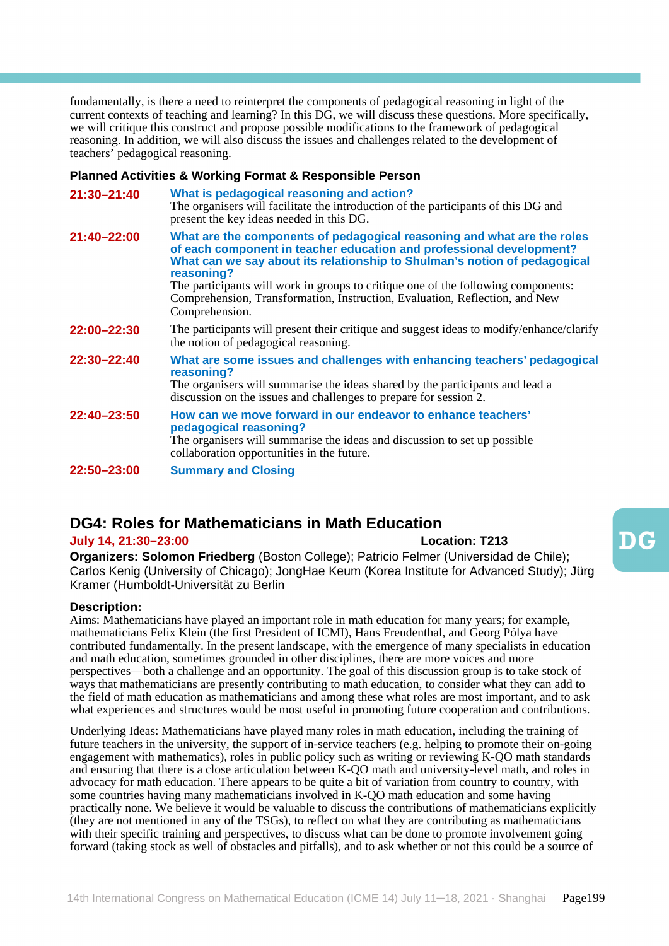fundamentally, is there a need to reinterpret the components of pedagogical reasoning in light of the current contexts of teaching and learning? In this DG, we will discuss these questions. More specifically, we will critique this construct and propose possible modifications to the framework of pedagogical reasoning. In addition, we will also discuss the issues and challenges related to the development of teachers' pedagogical reasoning.

#### **Planned Activities & Working Format & Responsible Person**

| 21:30-21:40 | What is pedagogical reasoning and action?<br>The organisers will facilitate the introduction of the participants of this DG and<br>present the key ideas needed in this DG.                                                                                                                                                                                                                                                      |
|-------------|----------------------------------------------------------------------------------------------------------------------------------------------------------------------------------------------------------------------------------------------------------------------------------------------------------------------------------------------------------------------------------------------------------------------------------|
| 21:40-22:00 | What are the components of pedagogical reasoning and what are the roles<br>of each component in teacher education and professional development?<br>What can we say about its relationship to Shulman's notion of pedagogical<br>reasoning?<br>The participants will work in groups to critique one of the following components:<br>Comprehension, Transformation, Instruction, Evaluation, Reflection, and New<br>Comprehension. |
| 22:00-22:30 | The participants will present their critique and suggest ideas to modify/enhance/clarify<br>the notion of pedagogical reasoning.                                                                                                                                                                                                                                                                                                 |
| 22:30-22:40 | What are some issues and challenges with enhancing teachers' pedagogical<br>reasoning?<br>The organisers will summarise the ideas shared by the participants and lead a<br>discussion on the issues and challenges to prepare for session 2.                                                                                                                                                                                     |
| 22:40-23:50 | How can we move forward in our endeavor to enhance teachers'<br>pedagogical reasoning?<br>The organisers will summarise the ideas and discussion to set up possible<br>collaboration opportunities in the future.                                                                                                                                                                                                                |
| 22:50-23:00 | <b>Summary and Closing</b>                                                                                                                                                                                                                                                                                                                                                                                                       |

# **DG4: Roles for Mathematicians in Math Education**

# **July 14, 21:30–23:00 Location: T213**

**Organizers: Solomon Friedberg** (Boston College); Patricio Felmer (Universidad de Chile); Carlos Kenig (University of Chicago); JongHae Keum (Korea Institute for Advanced Study); Jürg Kramer (Humboldt-Universität zu Berlin

# **Description:**

Aims: Mathematicians have played an important role in math education for many years; for example, mathematicians Felix Klein (the first President of ICMI), Hans Freudenthal, and Georg Pólya have contributed fundamentally. In the present landscape, with the emergence of many specialists in education and math education, sometimes grounded in other disciplines, there are more voices and more perspectives—both a challenge and an opportunity. The goal of this discussion group is to take stock of ways that mathematicians are presently contributing to math education, to consider what they can add to the field of math education as mathematicians and among these what roles are most important, and to ask what experiences and structures would be most useful in promoting future cooperation and contributions.

Underlying Ideas: Mathematicians have played many roles in math education, including the training of future teachers in the university, the support of in-service teachers (e.g. helping to promote their on-going engagement with mathematics), roles in public policy such as writing or reviewing  $K-OO$  math standards and ensuring that there is a close articulation between K-QO math and university-level math, and roles in advocacy for math education. There appears to be quite a bit of variation from country to country, with some countries having many mathematicians involved in K-QO math education and some having practically none. We believe it would be valuable to discuss the contributions of mathematicians explicitly (they are not mentioned in any of the TSGs), to reflect on what they are contributing as mathematicians with their specific training and perspectives, to discuss what can be done to promote involvement going forward (taking stock as well of obstacles and pitfalls), and to ask whether or not this could be a source of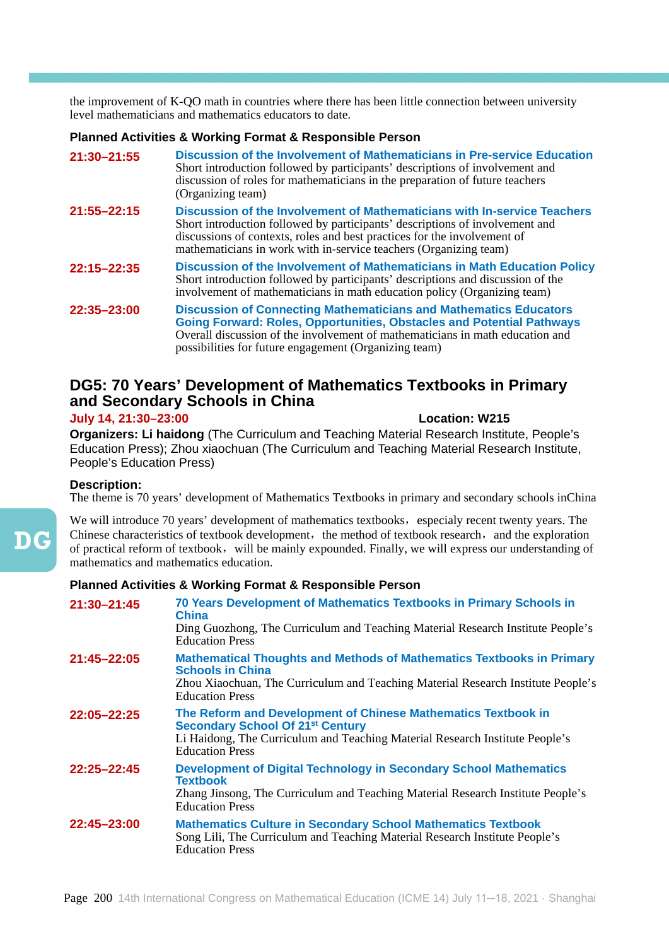the improvement of K-QO math in countries where there has been little connection between university level mathematicians and mathematics educators to date.

# **Planned Activities & Working Format & Responsible Person**

| 21:30-21:55     | Discussion of the Involvement of Mathematicians in Pre-service Education<br>Short introduction followed by participants' descriptions of involvement and<br>discussion of roles for mathematicians in the preparation of future teachers<br>(Organizing team)                                             |
|-----------------|-----------------------------------------------------------------------------------------------------------------------------------------------------------------------------------------------------------------------------------------------------------------------------------------------------------|
| 21:55-22:15     | Discussion of the Involvement of Mathematicians with In-service Teachers<br>Short introduction followed by participants' descriptions of involvement and<br>discussions of contexts, roles and best practices for the involvement of<br>mathematicians in work with in-service teachers (Organizing team) |
| 22:15-22:35     | Discussion of the Involvement of Mathematicians in Math Education Policy<br>Short introduction followed by participants' descriptions and discussion of the<br>involvement of mathematicians in math education policy (Organizing team)                                                                   |
| $22:35 - 23:00$ | <b>Discussion of Connecting Mathematicians and Mathematics Educators</b><br><b>Going Forward: Roles, Opportunities, Obstacles and Potential Pathways</b><br>Overall discussion of the involvement of mathematicians in math education and<br>possibilities for future engagement (Organizing team)        |

# **DG5: 70 Years' Development of Mathematics Textbooks in Primary and Secondary Schools in China**

# **July 14, 21:30–23:00 Location: W215**

**Organizers: Li haidong** (The Curriculum and Teaching Material Research Institute, People's Education Press); Zhou xiaochuan (The Curriculum and Teaching Material Research Institute, People's Education Press)

# **Description:**

The theme is 70 years' development of Mathematics Textbooks in primary and secondary schools inChina

We will introduce 70 years' development of mathematics textbooks, especialy recent twenty years. The Chinese characteristics of textbook development, the method of textbook research, and the exploration of practical reform of textbook,will be mainly expounded. Finally, we will express our understanding of mathematics and mathematics education.

| 21:30-21:45     | 70 Years Development of Mathematics Textbooks in Primary Schools in<br>China<br>Ding Guozhong, The Curriculum and Teaching Material Research Institute People's<br><b>Education Press</b>                             |
|-----------------|-----------------------------------------------------------------------------------------------------------------------------------------------------------------------------------------------------------------------|
| $21:45 - 22:05$ | <b>Mathematical Thoughts and Methods of Mathematics Textbooks in Primary</b><br><b>Schools in China</b><br>Zhou Xiaochuan, The Curriculum and Teaching Material Research Institute People's<br><b>Education Press</b> |
| 22:05-22:25     | The Reform and Development of Chinese Mathematics Textbook in<br><b>Secondary School Of 21st Century</b><br>Li Haidong, The Curriculum and Teaching Material Research Institute People's<br><b>Education Press</b>    |
| $22:25 - 22:45$ | <b>Development of Digital Technology in Secondary School Mathematics</b><br><b>Textbook</b><br>Zhang Jinsong, The Curriculum and Teaching Material Research Institute People's<br><b>Education Press</b>              |
| 22:45-23:00     | <b>Mathematics Culture in Secondary School Mathematics Textbook</b><br>Song Lili, The Curriculum and Teaching Material Research Institute People's<br><b>Education Press</b>                                          |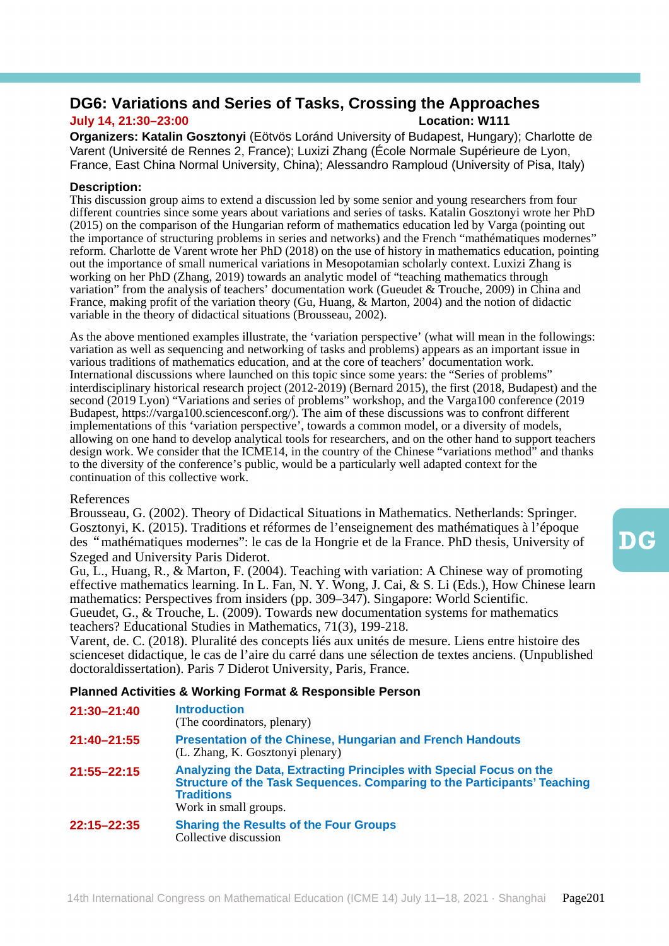# **DG6: Variations and Series of Tasks, Crossing the Approaches July 14, 21:30–23:00 Location: W111**

**Organizers: Katalin Gosztonyi** (Eötvös Loránd University of Budapest, Hungary); Charlotte de Varent (Université de Rennes 2, France); Luxizi Zhang (École Normale Supérieure de Lyon, France, East China Normal University, China); Alessandro Ramploud (University of Pisa, Italy)

# **Description:**

This discussion group aims to extend a discussion led by some senior and young researchers from four different countries since some years about variations and series of tasks. Katalin Gosztonyi wrote her PhD (2015) on the comparison of the Hungarian reform of mathematics education led by Varga (pointing out the importance of structuring problems in series and networks) and the French "mathématiques modernes" reform. Charlotte de Varent wrote her PhD (2018) on the use of history in mathematics education, pointing out the importance of small numerical variations in Mesopotamian scholarly context. Luxizi Zhang is working on her PhD (Zhang, 2019) towards an analytic model of "teaching mathematics through variation" from the analysis of teachers' documentation work (Gueudet & Trouche, 2009) in China and France, making profit of the variation theory (Gu, Huang, & Marton, 2004) and the notion of didactic variable in the theory of didactical situations (Brousseau, 2002).

As the above mentioned examples illustrate, the 'variation perspective' (what will mean in the followings: variation as well as sequencing and networking of tasks and problems) appears as an important issue in various traditions of mathematics education, and at the core of teachers' documentation work. International discussions where launched on this topic since some years: the "Series of problems" interdisciplinary historical research project (2012-2019) (Bernard 2015), the first (2018, Budapest) and the second (2019 Lyon) "Variations and series of problems" workshop, and the Varga100 conference (2019 Budapest, https://varga100.sciencesconf.org/). The aim of these discussions was to confront different implementations of this 'variation perspective', towards a common model, or a diversity of models, allowing on one hand to develop analytical tools for researchers, and on the other hand to support teachers design work. We consider that the ICME14, in the country of the Chinese "variations method" and thanks to the diversity of the conference's public, would be a particularly well adapted context for the continuation of this collective work.

# References

Brousseau, G. (2002). Theory of Didactical Situations in Mathematics. Netherlands: Springer. Gosztonyi, K. (2015). Traditions et réformes de l'enseignement des mathématiques à l'époque des"mathématiques modernes": le cas de la Hongrie et de la France. PhD thesis, University of Szeged and University Paris Diderot.

Gu, L., Huang, R., & Marton, F. (2004). Teaching with variation: A Chinese way of promoting effective mathematics learning. In L. Fan, N. Y. Wong, J. Cai, & S. Li (Eds.), How Chinese learn mathematics: Perspectives from insiders (pp. 309–347). Singapore: World Scientific. Gueudet, G., & Trouche, L. (2009). Towards new documentation systems for mathematics teachers? Educational Studies in Mathematics, 71(3), 199-218.

Varent, de. C. (2018). Pluralité des concepts liés aux unités de mesure. Liens entre histoire des scienceset didactique, le cas de l'aire du carré dans une sélection de textes anciens. (Unpublished doctoraldissertation). Paris 7 Diderot University, Paris, France.

| 21:30-21:40 | <b>Introduction</b><br>(The coordinators, plenary)                                                                                                                                            |
|-------------|-----------------------------------------------------------------------------------------------------------------------------------------------------------------------------------------------|
| 21:40-21:55 | <b>Presentation of the Chinese, Hungarian and French Handouts</b><br>(L. Zhang, K. Gosztonyi plenary)                                                                                         |
| 21:55-22:15 | Analyzing the Data, Extracting Principles with Special Focus on the<br>Structure of the Task Sequences. Comparing to the Participants' Teaching<br><b>Traditions</b><br>Work in small groups. |
| 22:15-22:35 | <b>Sharing the Results of the Four Groups</b><br>Collective discussion                                                                                                                        |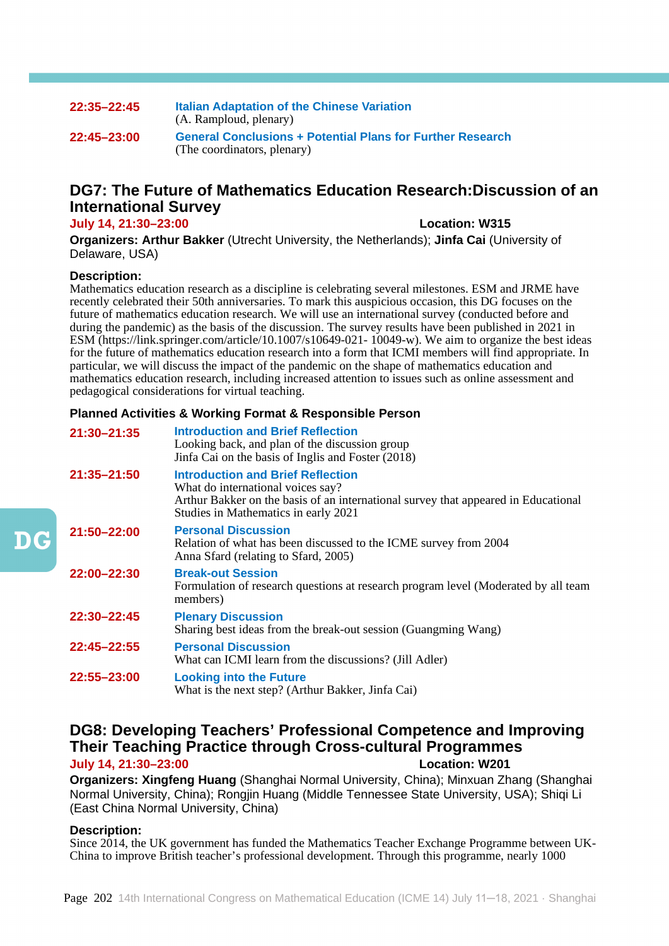# **22:35–22:45 Italian Adaptation of the Chinese Variation** (A. Ramploud, plenary) **22:45–23:00 General Conclusions + Potential Plans for Further Research** (The coordinators, plenary)

# **DG7: The Future of Mathematics Education Research:Discussion of an International Survey**

#### **July 14, 21:30–23:00 Location: W315**

**Organizers: Arthur Bakker** (Utrecht University, the Netherlands); **Jinfa Cai** (University of Delaware, USA)

# **Description:**

Mathematics education research as a discipline is celebrating several milestones. ESM and JRME have recently celebrated their 50th anniversaries. To mark this auspicious occasion, this DG focuses on the future of mathematics education research. We will use an international survey (conducted before and during the pandemic) as the basis of the discussion. The survey results have been published in 2021 in ESM (https://link.springer.com/article/10.1007/s10649-021- 10049-w). We aim to organize the best ideas for the future of mathematics education research into a form that ICMI members will find appropriate. In particular, we will discuss the impact of the pandemic on the shape of mathematics education and mathematics education research, including increased attention to issues such as online assessment and pedagogical considerations for virtual teaching.

# **Planned Activities & Working Format & Responsible Person**

| 21:30-21:35     | <b>Introduction and Brief Reflection</b><br>Looking back, and plan of the discussion group<br>Jinfa Cai on the basis of Inglis and Foster (2018)                                                            |
|-----------------|-------------------------------------------------------------------------------------------------------------------------------------------------------------------------------------------------------------|
| $21:35 - 21:50$ | <b>Introduction and Brief Reflection</b><br>What do international voices say?<br>Arthur Bakker on the basis of an international survey that appeared in Educational<br>Studies in Mathematics in early 2021 |
| 21:50-22:00     | <b>Personal Discussion</b><br>Relation of what has been discussed to the ICME survey from 2004<br>Anna Sfard (relating to Sfard, 2005)                                                                      |
| 22:00-22:30     | <b>Break-out Session</b><br>Formulation of research questions at research program level (Moderated by all team<br>members)                                                                                  |
| 22:30-22:45     | <b>Plenary Discussion</b><br>Sharing best ideas from the break-out session (Guangming Wang)                                                                                                                 |
| 22:45-22:55     | <b>Personal Discussion</b><br>What can ICMI learn from the discussions? (Jill Adler)                                                                                                                        |
| 22:55-23:00     | <b>Looking into the Future</b><br>What is the next step? (Arthur Bakker, Jinfa Cai)                                                                                                                         |

# **DG8: Developing Teachers' Professional Competence and Improving Their Teaching Practice through Cross-cultural Programmes July 14, 21:30–23:00 Location: W201**

**Organizers: Xingfeng Huang** (Shanghai Normal University, China); Minxuan Zhang (Shanghai Normal University, China); Rongjin Huang (Middle Tennessee State University, USA); Shiqi Li (East China Normal University, China)

# **Description:**

Since 2014, the UK government has funded the Mathematics Teacher Exchange Programme between UK-China to improve British teacher's professional development. Through this programme, nearly 1000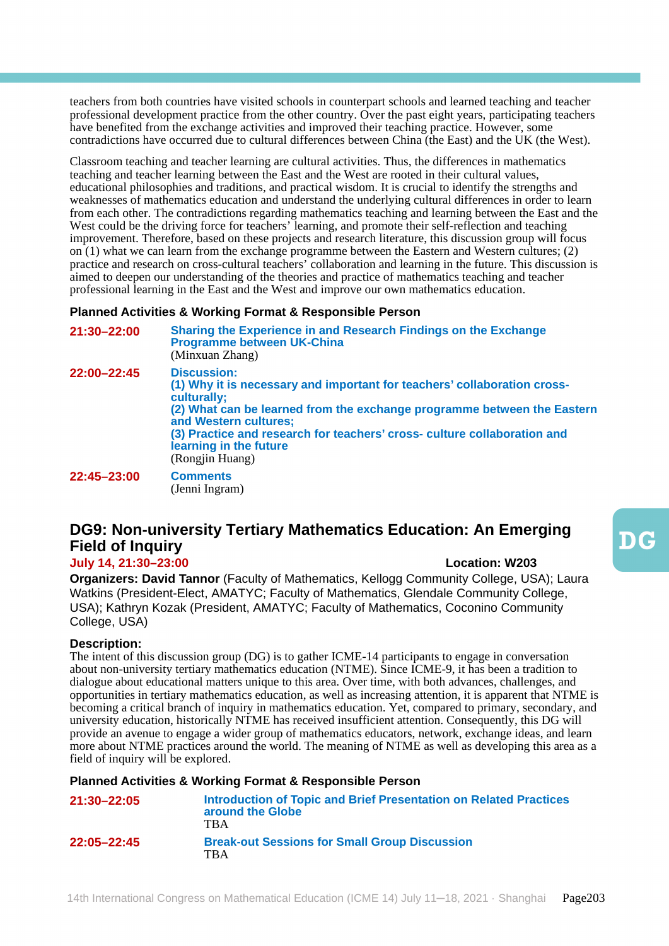teachers from both countries have visited schools in counterpart schools and learned teaching and teacher professional development practice from the other country. Over the past eight years, participating teachers have benefited from the exchange activities and improved their teaching practice. However, some contradictions have occurred due to cultural differences between China (the East) and the UK (the West).

Classroom teaching and teacher learning are cultural activities. Thus, the differences in mathematics teaching and teacher learning between the East and the West are rooted in their cultural values, educational philosophies and traditions, and practical wisdom. It is crucial to identify the strengths and weaknesses of mathematics education and understand the underlying cultural differences in order to learn from each other. The contradictions regarding mathematics teaching and learning between the East and the West could be the driving force for teachers' learning, and promote their self-reflection and teaching improvement. Therefore, based on these projects and research literature, this discussion group will focus on (1) what we can learn from the exchange programme between the Eastern and Western cultures; (2) practice and research on cross-cultural teachers' collaboration and learning in the future. This discussion is aimed to deepen our understanding of the theories and practice of mathematics teaching and teacher professional learning in the East and the West and improve our own mathematics education.

# **Planned Activities & Working Format & Responsible Person**

| 21:30-22:00 | Sharing the Experience in and Research Findings on the Exchange<br><b>Programme between UK-China</b><br>(Minxuan Zhang)                                                                                                                                                                                                                    |
|-------------|--------------------------------------------------------------------------------------------------------------------------------------------------------------------------------------------------------------------------------------------------------------------------------------------------------------------------------------------|
| 22:00-22:45 | <b>Discussion:</b><br>(1) Why it is necessary and important for teachers' collaboration cross-<br>culturally;<br>(2) What can be learned from the exchange programme between the Eastern<br>and Western cultures;<br>(3) Practice and research for teachers' cross- culture collaboration and<br>learning in the future<br>(Rongjin Huang) |
| 22:45-23:00 | <b>Comments</b><br>(Jenni Ingram)                                                                                                                                                                                                                                                                                                          |

# **DG9: Non-university Tertiary Mathematics Education: An Emerging Field of Inquiry**

# **July 14, 21:30–23:00 Location: W203**

**Organizers: David Tannor** (Faculty of Mathematics, Kellogg Community College, USA); Laura Watkins (President-Elect, AMATYC; Faculty of Mathematics, Glendale Community College, USA); Kathryn Kozak (President, AMATYC; Faculty of Mathematics, Coconino Community College, USA)

# **Description:**

The intent of this discussion group (DG) is to gather ICME-14 participants to engage in conversation about non-university tertiary mathematics education (NTME). Since ICME-9, it has been a tradition to dialogue about educational matters unique to this area. Over time, with both advances, challenges, and opportunities in tertiary mathematics education, as well as increasing attention, it is apparent that NTME is becoming a critical branch of inquiry in mathematics education. Yet, compared to primary, secondary, and university education, historically NTME has received insufficient attention. Consequently, this DG will provide an avenue to engage a wider group of mathematics educators, network, exchange ideas, and learn more about NTME practices around the world. The meaning of NTME as well as developing this area as a field of inquiry will be explored.

| 21:30-22:05     | Introduction of Topic and Brief Presentation on Related Practices<br>around the Globe<br>TBA |
|-----------------|----------------------------------------------------------------------------------------------|
| $22:05 - 22:45$ | <b>Break-out Sessions for Small Group Discussion</b><br><b>TBA</b>                           |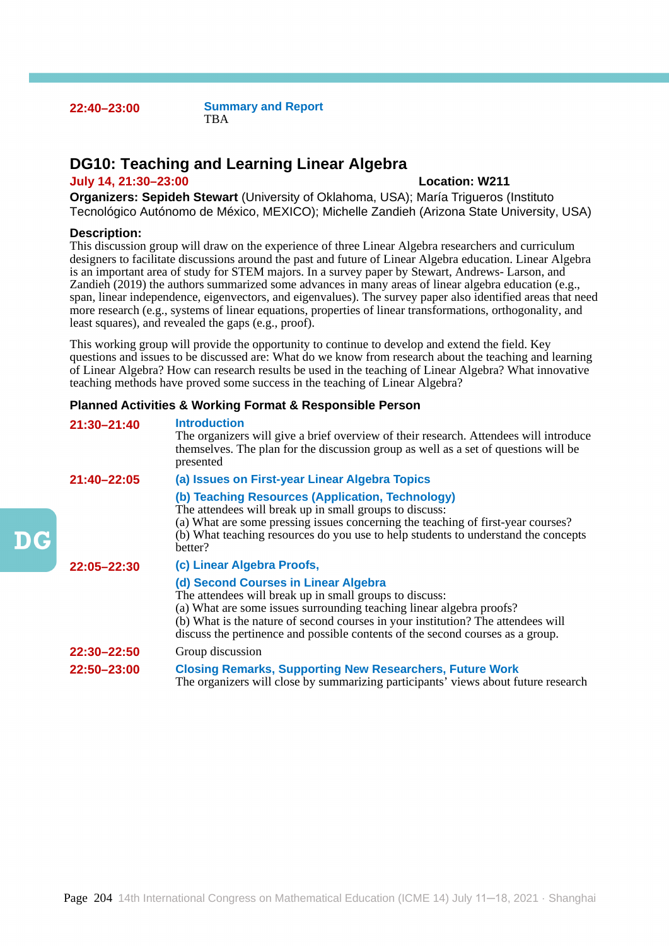**22:40–23:00 Summary and Report TBA** 

# **DG10: Teaching and Learning Linear Algebra**

# **July 14, 21:30–23:00 Location: W211**

**Organizers: Sepideh Stewart** (University of Oklahoma, USA); María Trigueros (Instituto Tecnológico Autónomo de México, MEXICO); Michelle Zandieh (Arizona State University, USA)

#### **Description:**

 $\mathbf{D} \mathbf{G}$ 

This discussion group will draw on the experience of three Linear Algebra researchers and curriculum designers to facilitate discussions around the past and future of Linear Algebra education. Linear Algebra is an important area of study for STEM majors. In a survey paper by Stewart, Andrews- Larson, and Zandieh (2019) the authors summarized some advances in many areas of linear algebra education (e.g., span, linear independence, eigenvectors, and eigenvalues). The survey paper also identified areas that need more research (e.g., systems of linear equations, properties of linear transformations, orthogonality, and least squares), and revealed the gaps (e.g., proof).

This working group will provide the opportunity to continue to develop and extend the field. Key questions and issues to be discussed are: What do we know from research about the teaching and learning of Linear Algebra? How can research results be used in the teaching of Linear Algebra? What innovative teaching methods have proved some success in the teaching of Linear Algebra?

| 21:30-21:40 | <b>Introduction</b><br>The organizers will give a brief overview of their research. Attendees will introduce<br>themselves. The plan for the discussion group as well as a set of questions will be<br>presented                                                                                                                              |
|-------------|-----------------------------------------------------------------------------------------------------------------------------------------------------------------------------------------------------------------------------------------------------------------------------------------------------------------------------------------------|
| 21:40-22:05 | (a) Issues on First-year Linear Algebra Topics                                                                                                                                                                                                                                                                                                |
|             | (b) Teaching Resources (Application, Technology)<br>The attendees will break up in small groups to discuss:<br>(a) What are some pressing issues concerning the teaching of first-year courses?<br>(b) What teaching resources do you use to help students to understand the concepts<br>hetter?                                              |
| 22:05-22:30 | (c) Linear Algebra Proofs,                                                                                                                                                                                                                                                                                                                    |
|             | (d) Second Courses in Linear Algebra<br>The attendees will break up in small groups to discuss:<br>(a) What are some issues surrounding teaching linear algebra proofs?<br>(b) What is the nature of second courses in your institution? The attendees will<br>discuss the pertinence and possible contents of the second courses as a group. |
| 22:30-22:50 | Group discussion                                                                                                                                                                                                                                                                                                                              |
| 22:50-23:00 | <b>Closing Remarks, Supporting New Researchers, Future Work</b><br>The organizers will close by summarizing participants' views about future research                                                                                                                                                                                         |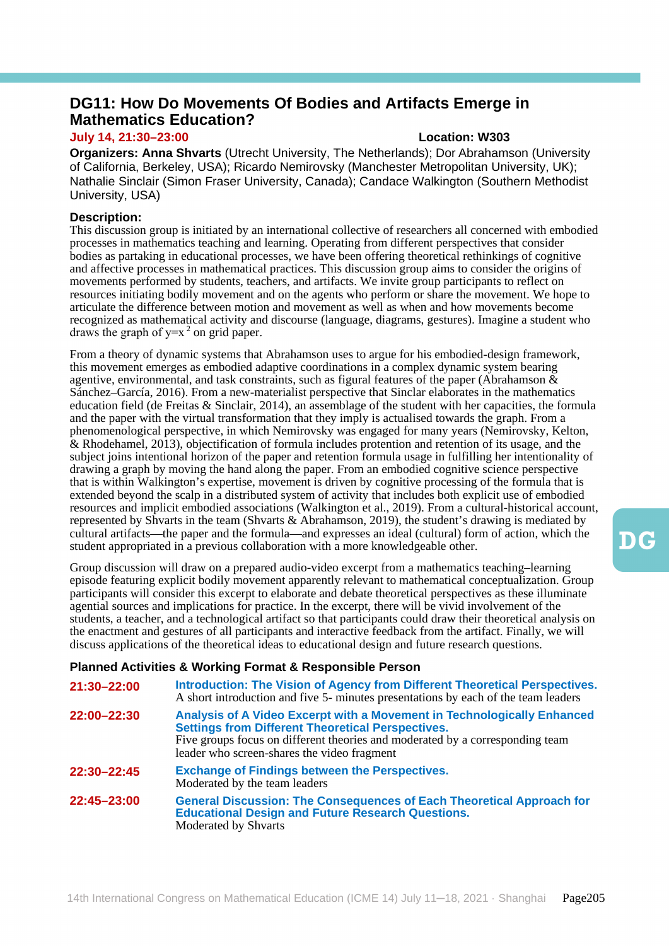# **DG11: How Do Movements Of Bodies and Artifacts Emerge in Mathematics Education?**

# **July 14, 21:30–23:00 Location: W303**

**Organizers: Anna Shvarts** (Utrecht University, The Netherlands); Dor Abrahamson (University of California, Berkeley, USA); Ricardo Nemirovsky (Manchester Metropolitan University, UK); Nathalie Sinclair (Simon Fraser University, Canada); Candace Walkington (Southern Methodist University, USA)

# **Description:**

This discussion group is initiated by an international collective of researchers all concerned with embodied processes in mathematics teaching and learning. Operating from different perspectives that consider bodies as partaking in educational processes, we have been offering theoretical rethinkings of cognitive and affective processes in mathematical practices. This discussion group aims to consider the origins of movements performed by students, teachers, and artifacts. We invite group participants to reflect on resources initiating bodily movement and on the agents who perform or share the movement. We hope to articulate the difference between motion and movement as well as when and how movements become recognized as mathematical activity and discourse (language, diagrams, gestures). Imagine a student who draws the graph of  $y=x^2$  on grid paper.

From a theory of dynamic systems that Abrahamson uses to argue for his embodied-design framework, this movement emerges as embodied adaptive coordinations in a complex dynamic system bearing agentive, environmental, and task constraints, such as figural features of the paper (Abrahamson  $\&$ Sánchez–García, 2016). From a new-materialist perspective that Sinclar elaborates in the mathematics education field (de Freitas & Sinclair, 2014), an assemblage of the student with her capacities, the formula and the paper with the virtual transformation that they imply is actualised towards the graph. From a phenomenological perspective, in which Nemirovsky was engaged for many years (Nemirovsky, Kelton, & Rhodehamel, 2013), objectification of formula includes protention and retention of its usage, and the subject joins intentional horizon of the paper and retention formula usage in fulfilling her intentionality of drawing a graph by moving the hand along the paper. From an embodied cognitive science perspective that is within Walkington's expertise, movement is driven by cognitive processing of the formula that is extended beyond the scalp in a distributed system of activity that includes both explicit use of embodied resources and implicit embodied associations (Walkington et al., 2019). From a cultural-historical account, represented by Shvarts in the team (Shvarts & Abrahamson, 2019), the student's drawing is mediated by cultural artifacts—the paper and the formula—and expresses an ideal (cultural) form of action, which the student appropriated in a previous collaboration with a more knowledgeable other.

Group discussion will draw on a prepared audio-video excerpt from a mathematics teaching–learning episode featuring explicit bodily movement apparently relevant to mathematical conceptualization. Group participants will consider this excerpt to elaborate and debate theoretical perspectives as these illuminate agential sources and implications for practice. In the excerpt, there will be vivid involvement of the students, a teacher, and a technological artifact so that participants could draw their theoretical analysis on the enactment and gestures of all participants and interactive feedback from the artifact. Finally, we will discuss applications of the theoretical ideas to educational design and future research questions.

| 21:30-22:00 | Introduction: The Vision of Agency from Different Theoretical Perspectives.<br>A short introduction and five 5- minutes presentations by each of the team leaders                                                                                                   |
|-------------|---------------------------------------------------------------------------------------------------------------------------------------------------------------------------------------------------------------------------------------------------------------------|
| 22:00-22:30 | Analysis of A Video Excerpt with a Movement in Technologically Enhanced<br><b>Settings from Different Theoretical Perspectives.</b><br>Five groups focus on different theories and moderated by a corresponding team<br>leader who screen-shares the video fragment |
| 22:30-22:45 | <b>Exchange of Findings between the Perspectives.</b><br>Moderated by the team leaders                                                                                                                                                                              |
| 22:45-23:00 | <b>General Discussion: The Consequences of Each Theoretical Approach for</b><br><b>Educational Design and Future Research Questions.</b><br>Moderated by Shvarts                                                                                                    |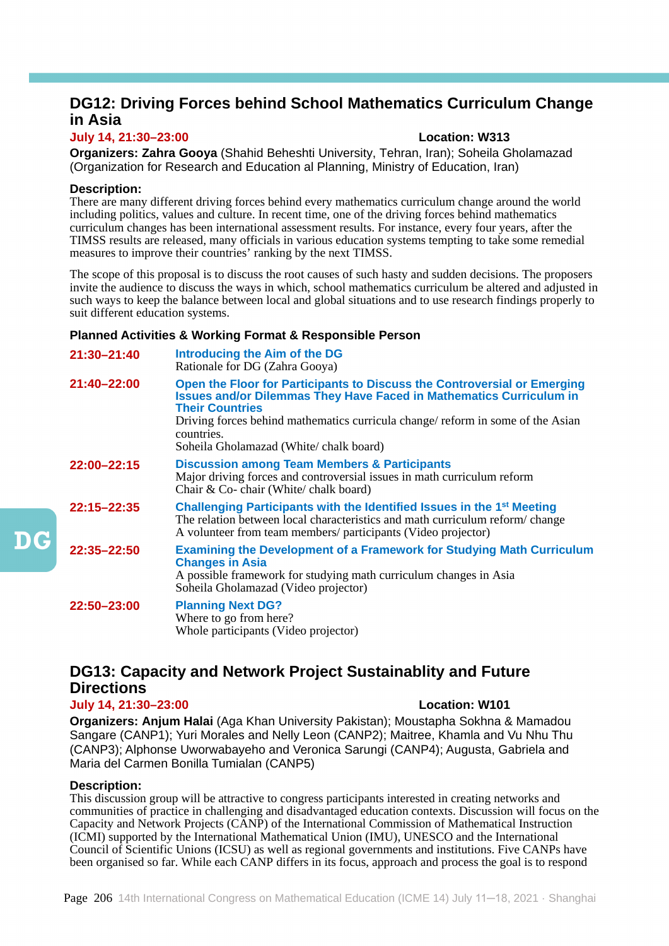# **DG12: Driving Forces behind School Mathematics Curriculum Change in Asia**

# **July 14, 21:30–23:00 Location: W313**

**Organizers: Zahra Gooya** (Shahid Beheshti University, Tehran, Iran); Soheila Gholamazad (Organization for Research and Education al Planning, Ministry of Education, Iran)

# **Description:**

There are many different driving forces behind every mathematics curriculum change around the world including politics, values and culture. In recent time, one of the driving forces behind mathematics curriculum changes has been international assessment results. For instance, every four years, after the TIMSS results are released, many officials in various education systems tempting to take some remedial measures to improve their countries' ranking by the next TIMSS.

The scope of this proposal is to discuss the root causes of such hasty and sudden decisions. The proposers invite the audience to discuss the ways in which, school mathematics curriculum be altered and adjusted in such ways to keep the balance between local and global situations and to use research findings properly to suit different education systems.

# **Planned Activities & Working Format & Responsible Person**

| $21:30 - 21:40$ | <b>Introducing the Aim of the DG</b><br>Rationale for DG (Zahra Gooya)                                                                                                                                                                                                                                                       |
|-----------------|------------------------------------------------------------------------------------------------------------------------------------------------------------------------------------------------------------------------------------------------------------------------------------------------------------------------------|
| 21:40-22:00     | Open the Floor for Participants to Discuss the Controversial or Emerging<br><b>Issues and/or Dilemmas They Have Faced in Mathematics Curriculum in</b><br><b>Their Countries</b><br>Driving forces behind mathematics curricula change/ reform in some of the Asian<br>countries.<br>Soheila Gholamazad (White/ chalk board) |
| 22:00-22:15     | <b>Discussion among Team Members &amp; Participants</b><br>Major driving forces and controversial issues in math curriculum reform<br>Chair & Co-chair (White/chalk board)                                                                                                                                                   |
| 22:15-22:35     | Challenging Participants with the Identified Issues in the 1 <sup>st</sup> Meeting<br>The relation between local characteristics and math curriculum reform/change<br>A volunteer from team members/ participants (Video projector)                                                                                          |
| 22:35-22:50     | <b>Examining the Development of a Framework for Studying Math Curriculum</b><br><b>Changes in Asia</b><br>A possible framework for studying math curriculum changes in Asia<br>Soheila Gholamazad (Video projector)                                                                                                          |
| 22:50-23:00     | <b>Planning Next DG?</b><br>Where to go from here?<br>Whole participants (Video projector)                                                                                                                                                                                                                                   |

# **DG13: Capacity and Network Project Sustainablity and Future Directions**

# **July 14, 21:30–23:00 Location: W101**

**Organizers: Anjum Halai** (Aga Khan University Pakistan); Moustapha Sokhna & Mamadou Sangare (CANP1); Yuri Morales and Nelly Leon (CANP2); Maitree, Khamla and Vu Nhu Thu (CANP3); Alphonse Uworwabayeho and Veronica Sarungi (CANP4); Augusta, Gabriela and Maria del Carmen Bonilla Tumialan (CANP5)

# **Description:**

This discussion group will be attractive to congress participants interested in creating networks and communities of practice in challenging and disadvantaged education contexts. Discussion will focus on the Capacity and Network Projects (CANP) of the International Commission of Mathematical Instruction (ICMI) supported by the International Mathematical Union (IMU), UNESCO and the International Council of Scientific Unions (ICSU) as well as regional governments and institutions. Five CANPs have been organised so far. While each CANP differs in its focus, approach and process the goal is to respond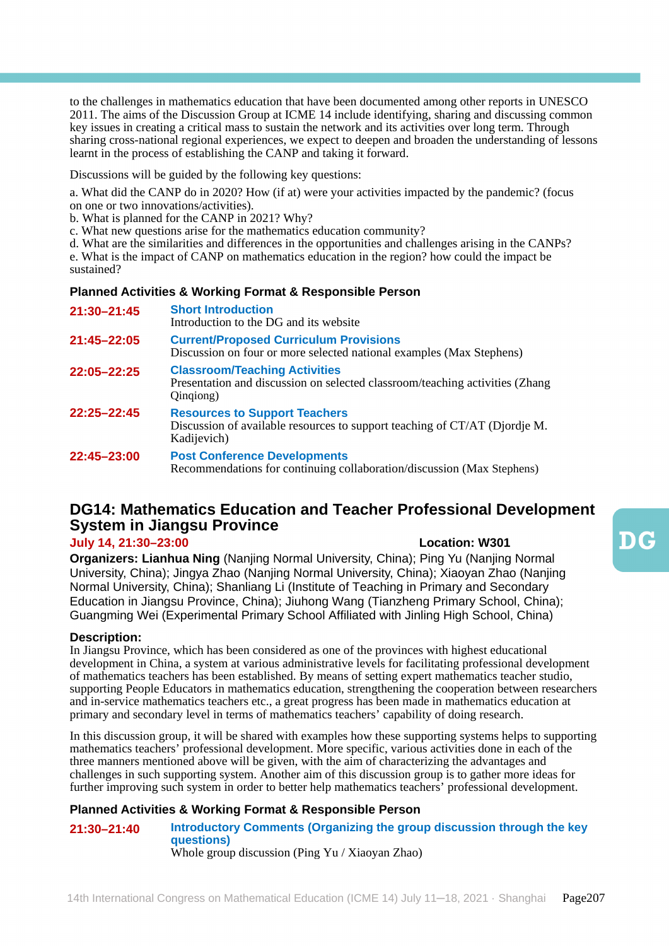to the challenges in mathematics education that have been documented among other reports in UNESCO 2011. The aims of the Discussion Group at ICME 14 include identifying, sharing and discussing common key issues in creating a critical mass to sustain the network and its activities over long term. Through sharing cross-national regional experiences, we expect to deepen and broaden the understanding of lessons learnt in the process of establishing the CANP and taking it forward.

Discussions will be guided by the following key questions:

a. What did the CANP do in 2020? How (if at) were your activities impacted by the pandemic? (focus on one or two innovations/activities).

b. What is planned for the CANP in 2021? Why?

c. What new questions arise for the mathematics education community?

d. What are the similarities and differences in the opportunities and challenges arising in the CANPs? e. What is the impact of CANP on mathematics education in the region? how could the impact be sustained?

# **Planned Activities & Working Format & Responsible Person**

| 21:30-21:45     | <b>Short Introduction</b><br>Introduction to the DG and its website                                                               |
|-----------------|-----------------------------------------------------------------------------------------------------------------------------------|
| 21:45-22:05     | <b>Current/Proposed Curriculum Provisions</b><br>Discussion on four or more selected national examples (Max Stephens)             |
| 22:05-22:25     | <b>Classroom/Teaching Activities</b><br>Presentation and discussion on selected classroom/teaching activities (Zhang<br>Oingiong) |
| $22:25 - 22:45$ | <b>Resources to Support Teachers</b><br>Discussion of available resources to support teaching of CT/AT (Djordje M.<br>Kadijevich) |
| 22:45-23:00     | <b>Post Conference Developments</b><br>Recommendations for continuing collaboration/discussion (Max Stephens)                     |

# **DG14: Mathematics Education and Teacher Professional Development System in Jiangsu Province**

# **July 14, 21:30–23:00 Location: W301**

**Organizers: Lianhua Ning** (Nanjing Normal University, China); Ping Yu (Nanjing Normal University, China); Jingya Zhao (Nanjing Normal University, China); Xiaoyan Zhao (Nanjing Normal University, China); Shanliang Li (Institute of Teaching in Primary and Secondary Education in Jiangsu Province, China); Jiuhong Wang (Tianzheng Primary School, China); Guangming Wei (Experimental Primary School Affiliated with Jinling High School, China)

# **Description:**

In Jiangsu Province, which has been considered as one of the provinces with highest educational development in China, a system at various administrative levels for facilitating professional development of mathematics teachers has been established. By means of setting expert mathematics teacher studio, supporting People Educators in mathematics education, strengthening the cooperation between researchers and in-service mathematics teachers etc., a great progress has been made in mathematics education at primary and secondary level in terms of mathematics teachers' capability of doing research.

In this discussion group, it will be shared with examples how these supporting systems helps to supporting mathematics teachers' professional development. More specific, various activities done in each of the three manners mentioned above will be given, with the aim of characterizing the advantages and challenges in such supporting system. Another aim of this discussion group is to gather more ideas for further improving such system in order to better help mathematics teachers' professional development.

# **Planned Activities & Working Format & Responsible Person**

**21:30–21:40 Introductory Comments (Organizing the group discussion through the key questions)** Whole group discussion (Ping Yu / Xiaoyan Zhao)